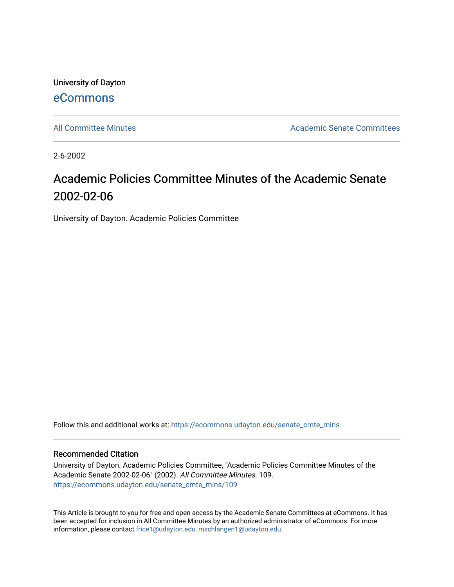University of Dayton [eCommons](https://ecommons.udayton.edu/)

[All Committee Minutes](https://ecommons.udayton.edu/senate_cmte_mins) **Academic Senate Committees** Academic Senate Committees

2-6-2002

## Academic Policies Committee Minutes of the Academic Senate 2002-02-06

University of Dayton. Academic Policies Committee

Follow this and additional works at: [https://ecommons.udayton.edu/senate\\_cmte\\_mins](https://ecommons.udayton.edu/senate_cmte_mins?utm_source=ecommons.udayton.edu%2Fsenate_cmte_mins%2F109&utm_medium=PDF&utm_campaign=PDFCoverPages)

## Recommended Citation

University of Dayton. Academic Policies Committee, "Academic Policies Committee Minutes of the Academic Senate 2002-02-06" (2002). All Committee Minutes. 109. [https://ecommons.udayton.edu/senate\\_cmte\\_mins/109](https://ecommons.udayton.edu/senate_cmte_mins/109?utm_source=ecommons.udayton.edu%2Fsenate_cmte_mins%2F109&utm_medium=PDF&utm_campaign=PDFCoverPages)

This Article is brought to you for free and open access by the Academic Senate Committees at eCommons. It has been accepted for inclusion in All Committee Minutes by an authorized administrator of eCommons. For more information, please contact [frice1@udayton.edu, mschlangen1@udayton.edu](mailto:frice1@udayton.edu,%20mschlangen1@udayton.edu).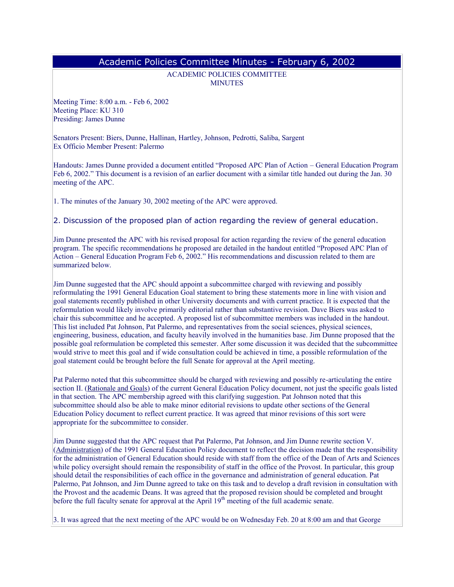## Academic Policies Committee Minutes - February 6, 2002

ACADEMIC POLICIES COMMITTEE **MINUTES** 

Meeting Time: 8:00 a.m. - Feb 6, 2002 Meeting Place: KU 310 Presiding: James Dunne

Senators Present: Biers, Dunne, Hallinan, Hartley, Johnson, Pedrotti, Saliba, Sargent Ex Officio Member Present: Palermo

Handouts: James Dunne provided a document entitled "Proposed APC Plan of Action – General Education Program Feb 6, 2002." This document is a revision of an earlier document with a similar title handed out during the Jan. 30 meeting of the APC.

1. The minutes of the January 30, 2002 meeting of the APC were approved.

2. Discussion of the proposed plan of action regarding the review of general education.

Jim Dunne presented the APC with his revised proposal for action regarding the review of the general education program. The specific recommendations he proposed are detailed in the handout entitled "Proposed APC Plan of Action – General Education Program Feb 6, 2002." His recommendations and discussion related to them are summarized below.

Jim Dunne suggested that the APC should appoint a subcommittee charged with reviewing and possibly reformulating the 1991 General Education Goal statement to bring these statements more in line with vision and goal statements recently published in other University documents and with current practice. It is expected that the reformulation would likely involve primarily editorial rather than substantive revision. Dave Biers was asked to chair this subcommittee and he accepted. A proposed list of subcommittee members was included in the handout. This list included Pat Johnson, Pat Palermo, and representatives from the social sciences, physical sciences, engineering, business, education, and faculty heavily involved in the humanities base. Jim Dunne proposed that the possible goal reformulation be completed this semester. After some discussion it was decided that the subcommittee would strive to meet this goal and if wide consultation could be achieved in time, a possible reformulation of the goal statement could be brought before the full Senate for approval at the April meeting.

Pat Palermo noted that this subcommittee should be charged with reviewing and possibly re-articulating the entire section II. (Rationale and Goals) of the current General Education Policy document, not just the specific goals listed in that section. The APC membership agreed with this clarifying suggestion. Pat Johnson noted that this subcommittee should also be able to make minor editorial revisions to update other sections of the General Education Policy document to reflect current practice. It was agreed that minor revisions of this sort were appropriate for the subcommittee to consider.

Jim Dunne suggested that the APC request that Pat Palermo, Pat Johnson, and Jim Dunne rewrite section V. (Administration) of the 1991 General Education Policy document to reflect the decision made that the responsibility for the administration of General Education should reside with staff from the office of the Dean of Arts and Sciences while policy oversight should remain the responsibility of staff in the office of the Provost. In particular, this group should detail the responsibilities of each office in the governance and administration of general education. Pat Palermo, Pat Johnson, and Jim Dunne agreed to take on this task and to develop a draft revision in consultation with the Provost and the academic Deans. It was agreed that the proposed revision should be completed and brought before the full faculty senate for approval at the April  $19<sup>th</sup>$  meeting of the full academic senate.

3. It was agreed that the next meeting of the APC would be on Wednesday Feb. 20 at 8:00 am and that George